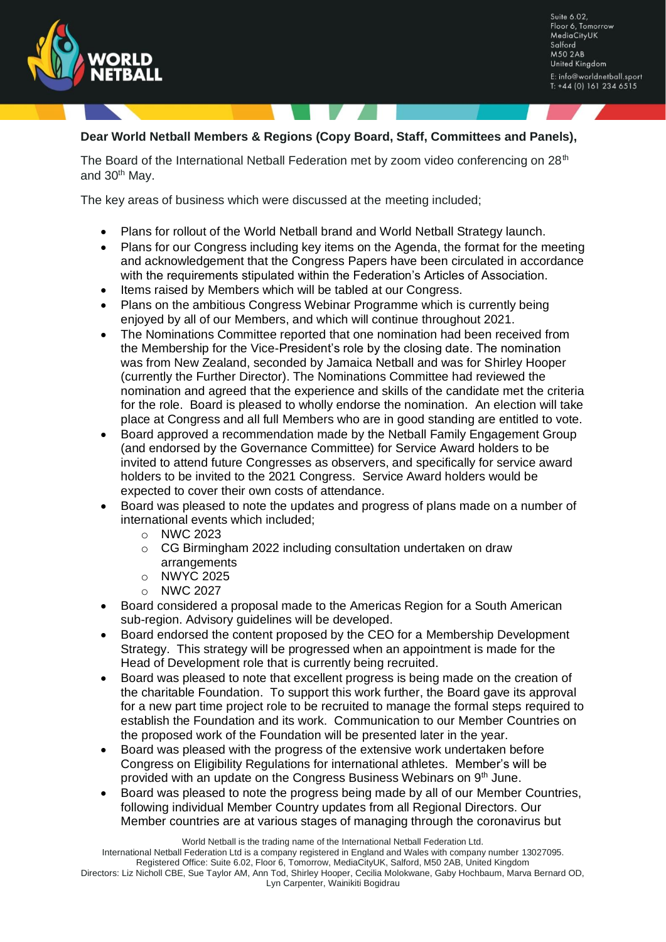

Suite 6.02, Floor 6, Tomorrow MediaCityUK Salford **M50 2AB United Kingdom** E: info@worldnetball.sport  $T: +44(0)$  161 234 6515

## **Dear World Netball Members & Regions (Copy Board, Staff, Committees and Panels),**

The Board of the International Netball Federation met by zoom video conferencing on  $28<sup>th</sup>$ and 30<sup>th</sup> May.

The key areas of business which were discussed at the meeting included;

- Plans for rollout of the World Netball brand and World Netball Strategy launch.
- Plans for our Congress including key items on the Agenda, the format for the meeting and acknowledgement that the Congress Papers have been circulated in accordance with the requirements stipulated within the Federation's Articles of Association.
- Items raised by Members which will be tabled at our Congress.
- Plans on the ambitious Congress Webinar Programme which is currently being enjoyed by all of our Members, and which will continue throughout 2021.
- The Nominations Committee reported that one nomination had been received from the Membership for the Vice-President's role by the closing date. The nomination was from New Zealand, seconded by Jamaica Netball and was for Shirley Hooper (currently the Further Director). The Nominations Committee had reviewed the nomination and agreed that the experience and skills of the candidate met the criteria for the role. Board is pleased to wholly endorse the nomination. An election will take place at Congress and all full Members who are in good standing are entitled to vote.
- Board approved a recommendation made by the Netball Family Engagement Group (and endorsed by the Governance Committee) for Service Award holders to be invited to attend future Congresses as observers, and specifically for service award holders to be invited to the 2021 Congress. Service Award holders would be expected to cover their own costs of attendance.
- Board was pleased to note the updates and progress of plans made on a number of international events which included;
	- o NWC 2023
	- o CG Birmingham 2022 including consultation undertaken on draw arrangements
	- o NWYC 2025
	- o NWC 2027
- Board considered a proposal made to the Americas Region for a South American sub-region. Advisory guidelines will be developed.
- Board endorsed the content proposed by the CEO for a Membership Development Strategy. This strategy will be progressed when an appointment is made for the Head of Development role that is currently being recruited.
- Board was pleased to note that excellent progress is being made on the creation of the charitable Foundation. To support this work further, the Board gave its approval for a new part time project role to be recruited to manage the formal steps required to establish the Foundation and its work. Communication to our Member Countries on the proposed work of the Foundation will be presented later in the year.
- Board was pleased with the progress of the extensive work undertaken before Congress on Eligibility Regulations for international athletes. Member's will be provided with an update on the Congress Business Webinars on 9<sup>th</sup> June.
- Board was pleased to note the progress being made by all of our Member Countries, following individual Member Country updates from all Regional Directors. Our Member countries are at various stages of managing through the coronavirus but

World Netball is the trading name of the International Netball Federation Ltd.

International Netball Federation Ltd is a company registered in England and Wales with company number 13027095.

Registered Office: Suite 6.02, Floor 6, Tomorrow, MediaCityUK, Salford, M50 2AB, United Kingdom Directors: Liz Nicholl CBE, Sue Taylor AM, Ann Tod, Shirley Hooper, Cecilia Molokwane, Gaby Hochbaum, Marva Bernard OD, Lyn Carpenter, Wainikiti Bogidrau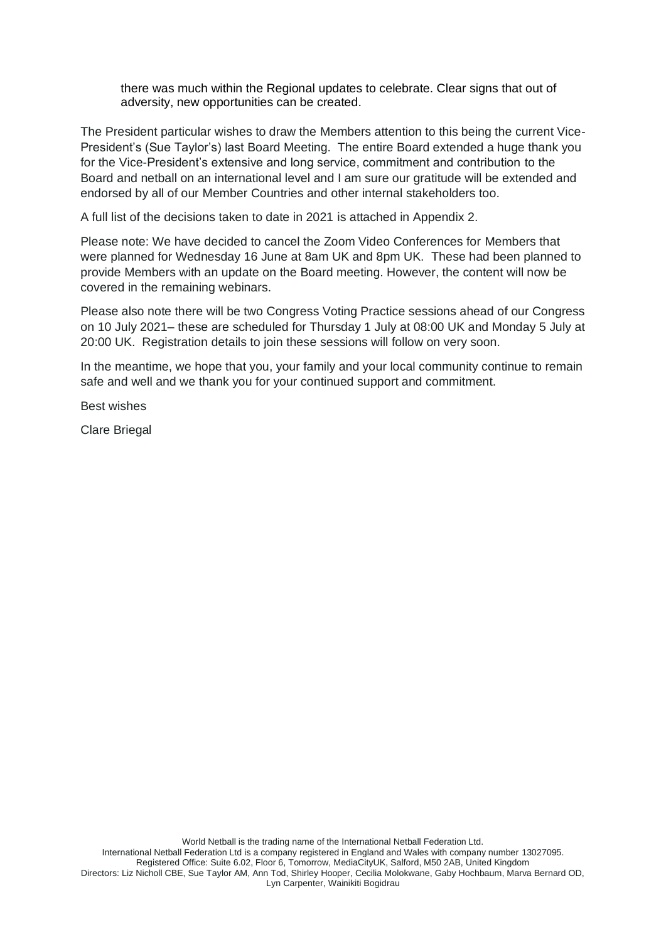there was much within the Regional updates to celebrate. Clear signs that out of adversity, new opportunities can be created.

The President particular wishes to draw the Members attention to this being the current Vice-President's (Sue Taylor's) last Board Meeting. The entire Board extended a huge thank you for the Vice-President's extensive and long service, commitment and contribution to the Board and netball on an international level and I am sure our gratitude will be extended and endorsed by all of our Member Countries and other internal stakeholders too.

A full list of the decisions taken to date in 2021 is attached in Appendix 2.

Please note: We have decided to cancel the Zoom Video Conferences for Members that were planned for Wednesday 16 June at 8am UK and 8pm UK. These had been planned to provide Members with an update on the Board meeting. However, the content will now be covered in the remaining webinars.

Please also note there will be two Congress Voting Practice sessions ahead of our Congress on 10 July 2021– these are scheduled for Thursday 1 July at 08:00 UK and Monday 5 July at 20:00 UK. Registration details to join these sessions will follow on very soon.

In the meantime, we hope that you, your family and your local community continue to remain safe and well and we thank you for your continued support and commitment.

Best wishes

Clare Briegal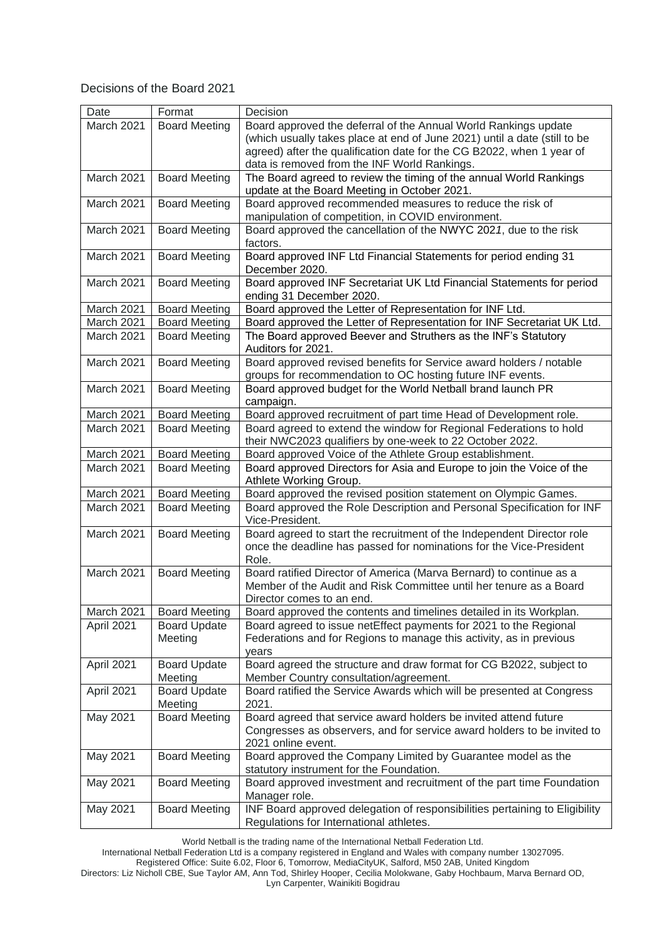## Decisions of the Board 2021

| Date                     | Format                                       | Decision                                                                                                                                  |
|--------------------------|----------------------------------------------|-------------------------------------------------------------------------------------------------------------------------------------------|
| March 2021               | <b>Board Meeting</b>                         | Board approved the deferral of the Annual World Rankings update                                                                           |
|                          |                                              | (which usually takes place at end of June 2021) until a date (still to be                                                                 |
|                          |                                              | agreed) after the qualification date for the CG B2022, when 1 year of                                                                     |
|                          |                                              | data is removed from the INF World Rankings.                                                                                              |
| March 2021               | <b>Board Meeting</b>                         | The Board agreed to review the timing of the annual World Rankings                                                                        |
|                          |                                              | update at the Board Meeting in October 2021.                                                                                              |
| March 2021               | <b>Board Meeting</b>                         | Board approved recommended measures to reduce the risk of                                                                                 |
|                          |                                              | manipulation of competition, in COVID environment.                                                                                        |
| March 2021               | <b>Board Meeting</b>                         | Board approved the cancellation of the NWYC 2021, due to the risk                                                                         |
|                          |                                              | factors.                                                                                                                                  |
| March 2021               | <b>Board Meeting</b>                         | Board approved INF Ltd Financial Statements for period ending 31                                                                          |
|                          |                                              | December 2020.                                                                                                                            |
| March 2021               | <b>Board Meeting</b>                         | Board approved INF Secretariat UK Ltd Financial Statements for period                                                                     |
|                          |                                              | ending 31 December 2020.                                                                                                                  |
| March 2021<br>March 2021 | <b>Board Meeting</b>                         | Board approved the Letter of Representation for INF Ltd.                                                                                  |
| March 2021               | <b>Board Meeting</b><br><b>Board Meeting</b> | Board approved the Letter of Representation for INF Secretariat UK Ltd.<br>The Board approved Beever and Struthers as the INF's Statutory |
|                          |                                              | Auditors for 2021.                                                                                                                        |
| March 2021               | <b>Board Meeting</b>                         | Board approved revised benefits for Service award holders / notable                                                                       |
|                          |                                              | groups for recommendation to OC hosting future INF events.                                                                                |
| March 2021               | <b>Board Meeting</b>                         | Board approved budget for the World Netball brand launch PR                                                                               |
|                          |                                              | campaign.                                                                                                                                 |
| March 2021               | <b>Board Meeting</b>                         | Board approved recruitment of part time Head of Development role.                                                                         |
| March 2021               | <b>Board Meeting</b>                         | Board agreed to extend the window for Regional Federations to hold                                                                        |
|                          |                                              | their NWC2023 qualifiers by one-week to 22 October 2022.                                                                                  |
| March 2021               | <b>Board Meeting</b>                         | Board approved Voice of the Athlete Group establishment.                                                                                  |
| March 2021               | <b>Board Meeting</b>                         | Board approved Directors for Asia and Europe to join the Voice of the<br>Athlete Working Group.                                           |
| March 2021               | <b>Board Meeting</b>                         | Board approved the revised position statement on Olympic Games.                                                                           |
| March 2021               | <b>Board Meeting</b>                         | Board approved the Role Description and Personal Specification for INF                                                                    |
|                          |                                              | Vice-President.                                                                                                                           |
| March 2021               | <b>Board Meeting</b>                         | Board agreed to start the recruitment of the Independent Director role                                                                    |
|                          |                                              | once the deadline has passed for nominations for the Vice-President                                                                       |
|                          |                                              | Role.                                                                                                                                     |
| March 2021               | <b>Board Meeting</b>                         | Board ratified Director of America (Marva Bernard) to continue as a                                                                       |
|                          |                                              | Member of the Audit and Risk Committee until her tenure as a Board                                                                        |
| March 2021               | <b>Board Meeting</b>                         | Director comes to an end.                                                                                                                 |
| April 2021               | <b>Board Update</b>                          | Board approved the contents and timelines detailed in its Workplan.<br>Board agreed to issue netEffect payments for 2021 to the Regional  |
|                          | Meeting                                      | Federations and for Regions to manage this activity, as in previous                                                                       |
|                          |                                              | years                                                                                                                                     |
| April 2021               | <b>Board Update</b>                          | Board agreed the structure and draw format for CG B2022, subject to                                                                       |
|                          | Meeting                                      | Member Country consultation/agreement.                                                                                                    |
| April 2021               | <b>Board Update</b>                          | Board ratified the Service Awards which will be presented at Congress                                                                     |
|                          | Meeting                                      | 2021.                                                                                                                                     |
| May 2021                 | <b>Board Meeting</b>                         | Board agreed that service award holders be invited attend future                                                                          |
|                          |                                              | Congresses as observers, and for service award holders to be invited to                                                                   |
|                          |                                              | 2021 online event.                                                                                                                        |
| May 2021                 | <b>Board Meeting</b>                         | Board approved the Company Limited by Guarantee model as the                                                                              |
|                          |                                              | statutory instrument for the Foundation.                                                                                                  |
| May 2021                 | <b>Board Meeting</b>                         | Board approved investment and recruitment of the part time Foundation<br>Manager role.                                                    |
| May 2021                 | <b>Board Meeting</b>                         | INF Board approved delegation of responsibilities pertaining to Eligibility                                                               |
|                          |                                              | Regulations for International athletes.                                                                                                   |

World Netball is the trading name of the International Netball Federation Ltd.

International Netball Federation Ltd is a company registered in England and Wales with company number 13027095.

Registered Office: Suite 6.02, Floor 6, Tomorrow, MediaCityUK, Salford, M50 2AB, United Kingdom

Directors: Liz Nicholl CBE, Sue Taylor AM, Ann Tod, Shirley Hooper, Cecilia Molokwane, Gaby Hochbaum, Marva Bernard OD, Lyn Carpenter, Wainikiti Bogidrau